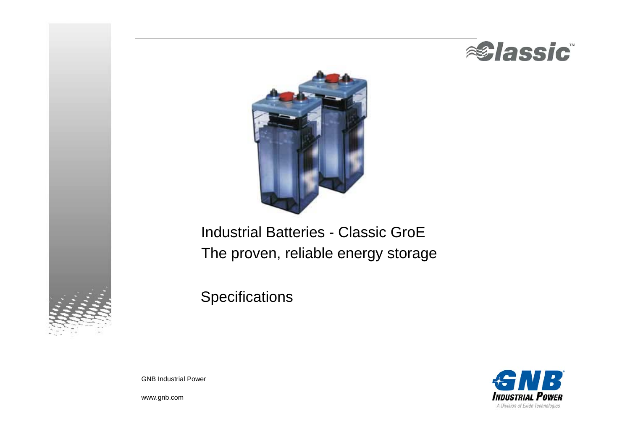



# Industrial Batteries - Classic GroE The proven, reliable energy storage

**Specifications** 



GNB Industrial Power

www.gnb.com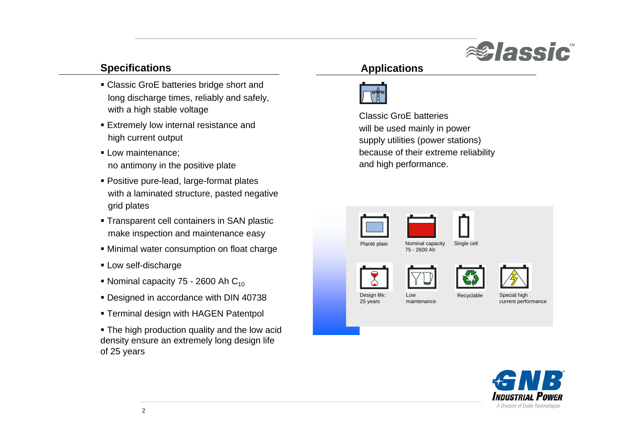

## **Specifications**

- Classic GroE batteries bridge short and long discharge times, reliably and safely, with a high stable voltage
- Extremely low internal resistance and high current output
- Low maintenance; no antimony in the positive plate
- Positive pure-lead, large-format plates with a laminated structure, pasted negative grid plates
- Transparent cell containers in SAN plastic make inspection and maintenance easy
- Minimal water consumption on float charge
- Low self-discharge
- Nominal capacity 75 2600 Ah C<sub>10</sub>
- Designed in accordance with DIN 40738
- Terminal design with HAGEN Patentpol
- The high production quality and the low acid density ensure an extremely long design life of 25 years

## **Applications**



Classic GroE batterieswill be used mainly in power supply utilities (power stations) because of their extreme reliability and high performance.



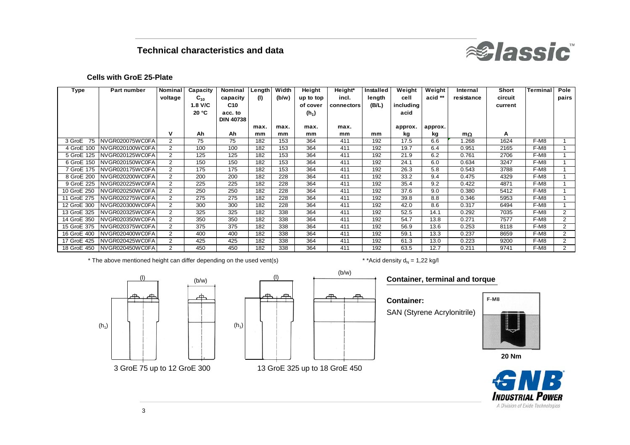## **Technical characteristics and data**



#### **Cells with GroE 25-Plate**

| Type         | <b>Part number</b>            | Nominal        | Capacity | <b>Nominal</b>   | Length | Width | Height    | Height*    | Installed | Weight    | Weight  | Internal   | Short   | <b>Terminal</b> | Pole           |
|--------------|-------------------------------|----------------|----------|------------------|--------|-------|-----------|------------|-----------|-----------|---------|------------|---------|-----------------|----------------|
|              |                               | voltage        | $C_{10}$ | capacity         | (1)    | (b/w) | up to top | incl.      | length    | cell      | acid ** | resistance | circuit |                 | pairs          |
|              |                               |                | 1.8 V/C  | C10              |        |       | of cover  | connectors | (B/L)     | including |         |            | current |                 |                |
|              |                               |                | 20 °C    | acc. to          |        |       | $(h_1)$   |            |           | acid      |         |            |         |                 |                |
|              |                               |                |          | <b>DIN 40738</b> |        |       |           |            |           |           |         |            |         |                 |                |
|              |                               |                |          |                  | max.   | max.  | max.      | max.       |           | approx.   | approx. |            |         |                 |                |
|              |                               | v              | Ah       | Ah               | mm     | mm    | mm        | mm         | mm        | kg        | kg      | $m\Omega$  | A       |                 |                |
| 75<br>3 GroE | NVGR020075WC0FA               | 2              | 75       | 75               | 182    | 153   | 364       | 411        | 192       | 17.5      | 6.6     | 1.268      | 1624    | F-M8            | $\mathbf{1}$   |
| 4 GroE 100   | NVGR020100WC0FA               | 2              | 100      | 100              | 182    | 153   | 364       | 411        | 192       | 19.7      | 6.4     | 0.951      | 2165    | F-M8            |                |
| 5 GroE 125   | NVGR020125WC0FA               | $\overline{2}$ | 125      | 125              | 182    | 153   | 364       | 411        | 192       | 21.9      | 6.2     | 0.761      | 2706    | F-M8            |                |
| 6 GroE 150   | NVGR020150WC0FA               | $\overline{2}$ | 150      | 150              | 182    | 153   | 364       | 411        | 192       | 24.1      | 6.0     | 0.634      | 3247    | F-M8            |                |
|              | 7 GroE 175   NVGR020175WC0FA  | 2              | 175      | 175              | 182    | 153   | 364       | 411        | 192       | 26.3      | 5.8     | 0.543      | 3788    | F-M8            |                |
| 8 GroE 200   | NVGR020200WC0FA               | 2              | 200      | 200              | 182    | 228   | 364       | 411        | 192       | 33.2      | 9.4     | 0.475      | 4329    | F-M8            |                |
| 9 GroE 225   | NVGR020225WC0FA               | 2              | 225      | 225              | 182    | 228   | 364       | 411        | 192       | 35.4      | 9.2     | 0.422      | 4871    | F-M8            | $\mathbf{1}$   |
| 10 GroE 250  | NVGR020250WC0FA               | 2              | 250      | 250              | 182    | 228   | 364       | 411        | 192       | 37.6      | 9.0     | 0.380      | 5412    | F-M8            |                |
| 11 GroE 275  | NVGR020275WC0FA               | 2              | 275      | 275              | 182    | 228   | 364       | 411        | 192       | 39.8      | 8.8     | 0.346      | 5953    | F-M8            |                |
| 12 GroE 300  | NVGR020300WC0FA               | 2              | 300      | 300              | 182    | 228   | 364       | 411        | 192       | 42.0      | 8.6     | 0.317      | 6494    | F-M8            |                |
| 13 GroE 325  | NVGR020325WC0FA               | 2              | 325      | 325              | 182    | 338   | 364       | 411        | 192       | 52.5      | 14.1    | 0.292      | 7035    | F-M8            | 2              |
| 14 GroE 350  | NVGR020350WC0FA               | 2              | 350      | 350              | 182    | 338   | 364       | 411        | 192       | 54.7      | 13.8    | 0.271      | 7577    | F-M8            | $\overline{2}$ |
| 15 GroE 375  | NVGR020375WC0FA               | 2              | 375      | 375              | 182    | 338   | 364       | 411        | 192       | 56.9      | 13.6    | 0.253      | 8118    | F-M8            | $\overline{2}$ |
| 16 GroE 400  | NVGR020400WC0FA               | 2              | 400      | 400              | 182    | 338   | 364       | 411        | 192       | 59.1      | 13.3    | 0.237      | 8659    | F-M8            | 2              |
|              | 17 GroE 425   NVGR020425WC0FA | 2              | 425      | 425              | 182    | 338   | 364       | 411        | 192       | 61.3      | 13.0    | 0.223      | 9200    | F-M8            | 2              |
| 18 GroE 450  | NVGR020450WC0FA               | 2              | 450      | 450              | 182    | 338   | 364       | 411        | 192       | 63.5      | 12.7    | 0.211      | 9741    | F-M8            | $\overline{2}$ |

\* The above mentioned height can differ depending on the used vent(s)  $\qquad$  \*  $\qquad$  \* \*Acid density  $\mathsf{d}_{\mathsf{N}}$ 

(b/w)

\* \* Acid density  $d_N = 1,22$  kg/l





#### **Container, terminal and torque**

**Container:** SAN (Styrene Acrylonitrile)



**20 Nm**

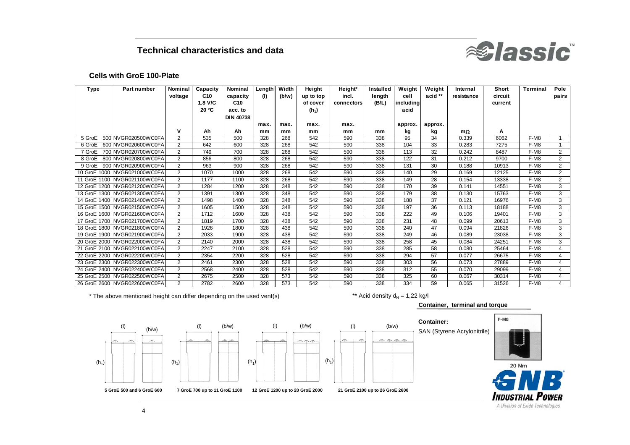

#### **Cells with GroE 100-Plate**

| <b>Type</b> | Part number                  | Nominal        | Capacity | Nominal          | Length | Width | Height    | Height*    | Installed | Weight    | Weight  | Internal   | Short   | Terminal | Pole           |
|-------------|------------------------------|----------------|----------|------------------|--------|-------|-----------|------------|-----------|-----------|---------|------------|---------|----------|----------------|
|             |                              | voltage        | C10      | capacity         | (1)    | (b/w) | up to top | incl.      | length    | cell      | acid ** | resistance | circuit |          | pairs          |
|             |                              |                | 1.8 V/C  | C <sub>10</sub>  |        |       | of cover  | connectors | (B/L)     | including |         |            | current |          |                |
|             |                              |                | 20 °C    | acc. to          |        |       | $(h_1)$   |            |           | acid      |         |            |         |          |                |
|             |                              |                |          | <b>DIN 40738</b> |        |       |           |            |           |           |         |            |         |          |                |
|             |                              |                |          |                  | max.   | max.  | max.      | max.       |           | approx.   | approx. |            |         |          |                |
|             |                              | $\mathsf{v}$   | Ah       | Ah               | mm     | mm    | mm        | mm         | mm        | kg        | kg      | $m\Omega$  | А       |          |                |
|             | 5 GroE 500 NVGR020500WC0FA   | $\overline{2}$ | 535      | 500              | 328    | 268   | 542       | 590        | 338       | 95        | 34      | 0.339      | 6062    | F-M8     |                |
|             | 6 GroE 600 NVGR020600WC0FA   | 2              | 642      | 600              | 328    | 268   | 542       | 590        | 338       | 104       | 33      | 0.283      | 7275    | F-M8     |                |
| 7 GroE      | 700 NVGR020700WC0FA          | $\overline{2}$ | 749      | 700              | 328    | 268   | 542       | 590        | 338       | 113       | 32      | 0.242      | 8487    | F-M8     | $\overline{2}$ |
|             | 8 GroE 800 NVGR020800WC0FA   | 2              | 856      | 800              | 328    | 268   | 542       | 590        | 338       | 122       | 31      | 0.212      | 9700    | F-M8     | $\overline{2}$ |
|             | 9 GroE 900 NVGR020900WC0FA   | 2              | 963      | 900              | 328    | 268   | 542       | 590        | 338       | 131       | 30      | 0.188      | 10913   | $F-M8$   | $\overline{2}$ |
|             | 10 GroE 1000 NVGR021000WC0FA | 2              | 1070     | 1000             | 328    | 268   | 542       | 590        | 338       | 140       | 29      | 0.169      | 12125   | F-M8     | 2              |
|             | 11 GroE 1100 NVGR021100WC0FA | $\overline{2}$ | 1177     | 1100             | 328    | 268   | 542       | 590        | 338       | 149       | 28      | 0.154      | 13338   | F-M8     | 2              |
|             | 12 GroE 1200 NVGR021200WC0FA | $\overline{2}$ | 1284     | 1200             | 328    | 348   | 542       | 590        | 338       | 170       | 39      | 0.141      | 14551   | F-M8     | 3              |
|             | 13 GroE 1300 NVGR021300WC0FA | $\overline{2}$ | 1391     | 1300             | 328    | 348   | 542       | 590        | 338       | 179       | 38      | 0.130      | 15763   | F-M8     | 3              |
|             | 14 GroE 1400 NVGR021400WC0FA | $\overline{2}$ | 1498     | 1400             | 328    | 348   | 542       | 590        | 338       | 188       | 37      | 0.121      | 16976   | F-M8     | 3              |
|             | 15 GroE 1500 NVGR021500WC0FA | 2              | 1605     | 1500             | 328    | 348   | 542       | 590        | 338       | 197       | 36      | 0.113      | 18188   | $F-M8$   | 3              |
|             | 16 GroE 1600 NVGR021600WC0FA | 2              | 1712     | 1600             | 328    | 438   | 542       | 590        | 338       | 222       | 49      | 0.106      | 19401   | F-M8     | 3              |
|             | 17 GroE 1700 NVGR021700WC0FA | 2              | 1819     | 1700             | 328    | 438   | 542       | 590        | 338       | 231       | 48      | 0.099      | 20613   | F-M8     | 3              |
|             | 18 GroE 1800 NVGR021800WC0FA | 2              | 1926     | 1800             | 328    | 438   | 542       | 590        | 338       | 240       | 47      | 0.094      | 21826   | F-M8     | 3              |
|             | 19 GroE 1900 NVGR021900WC0FA | $\overline{2}$ | 2033     | 1900             | 328    | 438   | 542       | 590        | 338       | 249       | 46      | 0.089      | 23038   | F-M8     | 3              |
|             | 20 GroE 2000 NVGR022000WC0FA | $\overline{2}$ | 2140     | 2000             | 328    | 438   | 542       | 590        | 338       | 258       | 45      | 0.084      | 24251   | F-M8     | 3              |
|             | 21 GroE 2100 NVGR022100WC0FA | $\overline{2}$ | 2247     | 2100             | 328    | 528   | 542       | 590        | 338       | 285       | 58      | 0.080      | 25464   | F-M8     | $\overline{4}$ |
|             | 22 GroE 2200 NVGR022200WC0FA | 2              | 2354     | 2200             | 328    | 528   | 542       | 590        | 338       | 294       | 57      | 0.077      | 26675   | F-M8     | $\overline{4}$ |
|             | 23 GroE 2300 NVGR022300WC0FA | 2              | 2461     | 2300             | 328    | 528   | 542       | 590        | 338       | 303       | 56      | 0.073      | 27889   | F-M8     | $\overline{4}$ |
|             | 24 GroE 2400 NVGR022400WC0FA | $\overline{2}$ | 2568     | 2400             | 328    | 528   | 542       | 590        | 338       | 312       | 55      | 0.070      | 29099   | $F-M8$   | $\overline{4}$ |
|             | 25 GroE 2500 NVGR022500WC0FA | $\overline{2}$ | 2675     | 2500             | 328    | 573   | 542       | 590        | 338       | 325       | 60      | 0.067      | 30314   | F-M8     | 4              |
|             | 26 GroE 2600 NVGR022600WC0FA | 2              | 2782     | 2600             | 328    | 573   | 542       | 590        | 338       | 334       | 59      | 0.065      | 31526   | F-M8     | $\overline{4}$ |

\* The above mentioned height can differ depending on the used vent(s)  $\qquad \qquad \qquad \qquad \qquad \qquad \qquad \qquad \qquad \qquad \text{Acid density d}_{\text{N}}$ 



\*\* Acid density  $d_N = 1,22$  kg/l

#### **Container, terminal and torque**



F-M8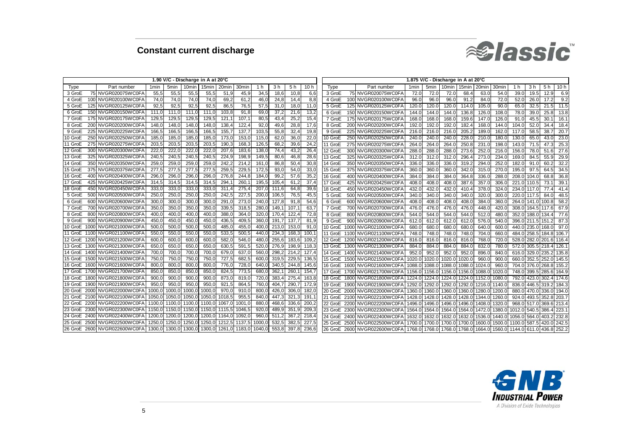

|         |      |                              |        |                  |                   | 1.90 V/C - Discharge in A at 20°C |        |       |        |       |       |       |         |      |                      |                  |                  | 1.875 V/C - Discharge in A at 20°C |        |                                        |        |        |       |             |           |
|---------|------|------------------------------|--------|------------------|-------------------|-----------------------------------|--------|-------|--------|-------|-------|-------|---------|------|----------------------|------------------|------------------|------------------------------------|--------|----------------------------------------|--------|--------|-------|-------------|-----------|
| Type    |      | Part number                  | 1min   | 5 <sub>min</sub> | 10 <sub>min</sub> | 15 <sub>min</sub>                 | 20min  | 30min | 1 h    | 3 h   | 5 h   | 10 h  | Type    |      | Part number          | 1 <sub>min</sub> | 5 <sub>min</sub> | 10 <sub>min</sub>                  | 15min  | 20 <sub>min</sub>                      | 30mir  | 1 h    | 3 h   | 5 h         | 10h       |
| 3 GroE  |      | 75 NVGR020075WC0F/           | 55.5   | 55,5             | 55.5              | 55,5                              | 51.9   | 45.9  | 34.5   | 18.6  | 10.8  | 6,6   | 3 GroE  |      | 75 NVGR020075WC0FA   | 72.0             | 72.0             | 72.0                               | 68.4   | 63.0                                   | 54.0   | 39.0   | 19.5  | 12.9        | 6.9       |
| 4 GroE  |      | 100 NVGR020100WC0FA          | 74.0   | 74,0             | 74,0              | 74,0                              | 69.2   | 61.2  | 46,    | 24.8  | 14,4  | 8,8   | 4 GroE  |      | 100 NVGR020100WC0FA  | 96.0             | 96.0             | 96.0                               | 91.2   | 84.0                                   | 72.0   | 52(    | 26.0  | 17.2        | 9.2       |
| 5 GroE  |      | 125 NVGR020125WC0FA          | 92.5   | 92.5             | 92.5              | 92.5                              | 86.5   | 76,5  | 57.5   | 31.0  | 18.0  | 11.0  | 5 GroE  | 125  | NVGR020125WC0FA      | 120.0            | 120.0            | 120.0                              | 114.0  | 105.0                                  | 90.0   | 65.0   | 32.5  | 21.5        | 11.5      |
| 6 GroE  |      | 150 NVGR020150WC0FA          | 111.0  | 111.0            | 111.0             | 111.0                             | 103,8  | 91.8  | 69.    | 37.2  | 21.6  | 13,2  | 6 GroE  | 150  | NVGR020150WC0FA      | 144.0            | 144.0            | 144.0                              | 136.8  | 126.0                                  | 108.0  | 78.0   | 39.0  | 25.8        | 13.8      |
| 7 GroE  |      | 175 NVGR020175WC0FA          | 129,5  | 129,5            | 129.5             | 129.5                             | 121.1  | 107.  | 80.    | 43.4  | 25,2  | 15,4  | 7 GroE  | 175  | NVGR020175WC0FA      | 168.0            | 168.0            | 168.0                              | 159.6  | 147.0                                  | 126.0  | 91.0   | 45.5  | 30.         | 16.7      |
| 8 GroE  |      | 200 NVGR020200WC0FA          | 148.0  | 148.             | 148.0             | 148.0                             | 138.4  | 122.  | 92.0   | 49.6  | 28.8  | 17.6  | 8 GroE  | 200  | NVGR020200WC0FA      | 192.0            | 192.             | 192.0                              | 182.4  | 168.0                                  | 144.0  | 104.0  | 52.0  | 34.         | 18.4      |
| 9 GroE  |      | 225 NVGR020225WC0FA          | 166,5  | 166,             | 166.5             | 166.5                             | 155,7  | 137,  | 103,5  | 55,8  | 32,4  | 19,8  | 9 GroE  |      | 225 NVGR020225WC0FA  | 216.0            | 216.             | 216.0                              | 205.2  | 189.0                                  | 162.0  | 117.0  | 58.5  | 38.         | 20.7      |
| 10 GroE |      | 250 NVGR020250WC0FA          | 185,0  | 185,             | 185.0             | 185,                              | 173,0  | 153,  | 115.0  | 62.0  | 36,0  | 22,0  | 10 GroE |      | 250 NVGR020250WC0FA  | 240.0            | 240.             | 240.0                              | 228.0  | 210.0                                  | 180.0  | 130.0  | 65.0  | 43.0        | 23.0      |
| 11 GroE |      | 275 NVGR020275WC0FA          | 203.5  | 203.             | 203.5             | 203.5                             | 190.3  | 168.  | 126.   | 68.2  | 39,6  | 24,2  | 11 GroE |      | 275 NVGR020275WC0FA  | 264.0            | 264.             | 264.0                              | 250.8  | 231.0                                  | 198.   | 143.0  | 71.5  | 47.3        | 25.3      |
| 12 GroE |      | 300 NVGR020300WC0FA          | 222.   | 222.             | 222.0             | 222.1                             | 207.6  | 183,  | 138.   | 74.4  | 43,2  | 26,4  | 12 GroE | 300  | NVGR020300WC0FA      | 288.0            | 288.             | 288.0                              | 273.6  | 252.0                                  | 216.   | 156.0  | 78.0  | 51.6        | 27.6      |
| 13 GroE | 325  | NVGR020325WC0FA              | 240.5  | 240.5            | 240.5             | 240.                              | 224.9  | 198,  | 149.5  | 80.6  | 46,8  | 28,6  | 13 GroE | 325  | NVGR020325WC0FA      | 312.0            | 312.0            | 312.0                              | 296.   | 273.0                                  | 234.0  | 169.0  | 84.5  | 55.         | 29.9      |
| 14 GroE |      | 350 NVGR020350WC0FA          | 259.0  | 259,             | 259,0             | 259,                              | 242.3  | 214.  | 161.   | 86.8  | 50,4  | 30,8  | 14 GroE |      | 350 NVGR020350WC0FA  | 336.0            | 336.0            | 336.0                              | 319.   | 294.0                                  | 252.0  | 182.0  | 91.0  | 60.         | 32.2      |
| 15 GroE |      | 375 NVGR020375WC0FA          | 277.5  | 277.5            | 277,5             | 277.5                             | 259.5  | 229,  | 172,5  | 93.0  | 54,0  | 33,0  | 15 GroE |      | 375 NVGR020375WC0FA  | 360.0            | 360.             | 360.0                              | 342.0  | 315.0                                  | 270.0  | 195.0  | 97.5  | 64.5        | 34.5      |
| 16 GroE |      | 400 NVGR020400WC0FA          | 296.   | 296.             | 296.0             | 296.                              | 276.8  | 244.  | 184.0  | 99.   | 57.6  | 35.2  | 16 GroE |      | 400 NVGR020400WC0FA  | 384.0            | 384.             | 384.0                              | 364.8  | 336.                                   | 288.   | 208.0  | 104.0 | 68.8        | 36.8      |
| 17 GroE |      | 425 NVGR020425WC0FA          | 314.5  | 314.5            | 314.5             | 314.5                             | 294.7  | 260   | 195.5  | 105.4 | 61.2  | 37,4  | 17 GroE |      | 425 NVGR020425WC0FA  | 408.0            | 408.0            | 408.0                              | 387.6  | 357.0                                  | 306.   | 221.0  | 110.  | 73.         | 39.7      |
| 18 GroE |      | 450 NVGR020450WC0FA          | 333.0  | 333.             | 333,0             | 333,                              | 311.4  | 275,  | 207.0  | 111.6 | 64,8  | 39,6  | 18 GroE |      | 450 NVGR020450WC0FA  | 432.0            | 432.0            | 432.0                              | 410.4  | 378.0                                  | 324.   | 234.0  | 117.0 | 77.4        | 41.4      |
| 5 GroE  |      | 500 NVGR020500WC0F/          | 250.0  | 250.             | 250.0             | 250.                              | 242.5  | 227.  | 200.   | 106.  | 76.5  | 45,5  | 5 GroE  |      | 500 NVGR020500WC0FA  | 340.0            | 340.0            | 340.0                              | 340.0  | 320.0                                  | 300.0  | 220.0  | 117.  | 84.0        | 48.5      |
| 6 GroE  |      | 600 NVGR020600WC0FA          | 300    | 300.             | 300.0             | 300,                              | 291,   | 273.  | 240.0  | 127.8 | 91.8  | 54,6  | 6 GroE  |      | 600 NVGR020600WC0FA  | 408.0            | 408.0            | 408.0                              | 408.   | 384.                                   | 360.   | 264.0  | 141.0 | 100.8       | 58.2      |
| 7 GroE  |      | 700 NVGR020700WC0FA          | 350.   | 350,             | 350,0             | 350,                              | 339,5  | 318,  | 280.0  | 149,  | 107.1 | 63,7  | 7 GroE  |      | 700 NVGR020700WC0FA  | 476.0            | 476.0            | 476.0                              | 476.   | 448.                                   | 420.   | 308.0  | 164.5 | 117.6       | 67.9      |
| 8 GroE  | 800  | NVGR020800WC0FA              | 400.0  | 400.             | 400.0             | 400.                              | 388.0  | 364.  | 320.0  | 170.  | 122.4 | 72.8  | 8 GroE  | 800  | NVGR020800WC0FA      | 544.0            | 544.0            | 544.0                              | 544.0  | 512.0                                  | 480.   | 352.0  | 188.0 | 134.        | 77.6      |
| 9 GroE  |      | 900 NVGR020900WC0F/          | 450.0  | 450,             | 450,0             | 450.                              | 436,5  | 409,  | 360.   | 191   | 137,7 | 81.9  | 9 GroE  | 900  | NVGR020900WC0FA      | 612.0            | 612.             | 612.0                              | 612.0  | 576.0                                  | 540.0  | 396.C  | 211.5 | 151         | 87.3      |
| 10 GroE |      | 1000 NVGR021000WC0FA         | 500.   | 500,             | 500, C            | 500.                              | 485,   | 455,  | 400,   | 213.0 | 153,0 | 91(   | 10 GroE | 1000 | NVGR021000WC0FA      | 680.0            | 680.0            | 680.0                              | 680.0  | 640.0                                  | 600.   | 440.0  | 235.0 | 168.0       | 97.0      |
| 11 GroE |      | 1100 NVGR021100WC0FA         | 550.0  | 550,             | 550.0             | 550.0                             | 533,5  | 500.  | 440.0  | 234.  | 168,3 | 100.7 | 11 GroE |      | 1100 NVGR021100WC0FA | 748.0            | 748.             | 748.0                              | 748.0  | 704.0                                  | 660.   | 484.0  | 258.5 | 184.8       | 106.      |
| 12 GroE |      | 1200 NVGR021200WC0FA         | 600.0  | 600,             | 600.0             | 600.                              | 582.0  | 546.  | 480.0  | 255,6 | 183,6 | 109,2 | 12 GroE |      | 1200 NVGR021200WC0FA | 816.0            | 816.0            | 816.0                              | 816.0  | 768.0                                  | 720.0  | 528.0  | 282.0 | 201.6 116.  |           |
| 13 GroE |      | 1300 NVGR021300WC0FA         | 650.   | 650.             | 650,0             | 650,                              | 630,5  | 591   | 520.   | 276,  | 198,9 | 118,3 | 13 GroE |      | 1300 NVGR021300WC0FA | 884.0            | 884.             | 884.0                              | 884.0  | 832.0                                  | 780.   | 572.0  | 305.5 | 218.4 126.  |           |
| 14 GroE |      | 1400 NVGR021400WC0FA         | 700    | 700.             | 700.              | 700.                              | 679.0  | 637,  | 560.   | 298.  | 214.2 | 127,4 | 14 GroE |      | 1400 NVGR021400WC0FA | 952.0            | 952.             | 952.0                              | 952.0  | 896.0                                  | 840.   | 616.0  | 329.0 | 235.2 135.8 |           |
| 15 GroE |      | 1500 NVGR021500WC0FA         | 750,   | 750,             | 750,0             | 750,                              | 727,5  | 682   | 600.0  | 319,  | 229,5 | 136,5 | 15 GroE |      | 1500 NVGR021500WC0FA | 1020.0           | 1020.            | 1020.0                             | 1020.  | 960.                                   | 900.   | 660.0  | 352.5 | 252.        | 145.5     |
| 16 GroE |      | 1600 NVGR021600WC0FA         | 800.   | 800.             | 800.0             | 800.                              | 776.0  | 728.  | 640.0  | 340.  | 244.8 | 145.6 | 16 GroE | 1600 | NVGR021600WC0FA      | 1088.            | 1088.            | 1088.0                             | 1088.  | 1024.0                                 | 960.   | 704.0  | 376.0 | 268.        | 155.2     |
| 17 GroE |      | 1700 NVGR021700WC0FA         | 850.   | 850,             | 850,0             | 850,                              | 824,5  | 773,  | 680.   | 362,  | 260,1 | 154,7 | 17 GroE | 1700 | NVGR021700WC0FA      | 1156.0           | 1156.0           | 1156.0                             | 1156.0 | 088.0                                  | 1020.  | 748.0  | 399.5 | 285.        | 164.9     |
| 18 GroE |      | 1800 NVGR021800WC0FA         | 900.0  | 900.0            | 900.0             | 900.                              | 873,0  | 819,  | 720,   | 383,  | 275,4 | 163,8 | 18 GroE |      | 1800 NVGR021800WC0FA | 1224.0           | 1224.0           | 1224.0                             | 1224.0 | 1152.0                                 | 1080.  | 792.0  | 423.0 | 302.        | 174.6     |
| 19 GroE |      | 1900 NVGR021900WC0FA         | 950.0  | 950.0            | 950.0             | 950.0                             | 921.5  | 864.  | 760.0  | 404.  | 290.7 | 172,9 | 19 GroE |      | 1900 NVGR021900WC0FA | 1292.0           | 1292.0           | 1292.0                             | 1292.0 | 1216.0                                 | 1140.  | 836.0  | 446.5 | 319.2       | 184.3     |
| 20 GroE |      | 2000 NVGR022000WC0FA         | 1000.0 | 1000.0           | 1000.0            | 1000,                             | 970.0  | 910.  | 800.0  | 426.  | 306,0 | 182,0 | 20 GroE |      | 2000 NVGR022000WC0FA | 1360.0           | 1360.            | 1360.0                             | 1360.0 | 1280.0                                 | 1200.  | 880.0  | 470.0 | 336.0       | 194.0     |
| 21 GroE |      | 2100 NVGR022100WC0FA         | 1050.0 | 1050.0           | 1050.             | 1050.                             | 1018.5 | 955.  | 840.0  | 447.3 | 321.3 | 191.1 | 21 GroE |      | 2100 NVGR022100WC0FA | 1428.0           | 1428.0           | 1428.0                             | 1428.0 | 1344.0                                 | 1260.0 | 924.0  | 493.5 | 352.8 203.7 |           |
| 22 GroE |      | 2200 NVGR022200WC0FA         | 1100   | 1100.0           | 1100              | 1100                              | 1067.0 | 1001  | 880.   | 468.  | 336.6 | 200,2 | 22 GroE |      | 2200 NVGR022200WC0FA | 1496.0           | 1496.0           | 1496.0                             | 1496.0 | 1408.0                                 | 1320.  | 968.0  | 517.0 | 369.6 213.4 |           |
| 23 GroE |      | 2300 NVGR022300WC0FA         | 1150.0 | 1150.            | 1150.             | 01 1150.0                         | 1115.5 | 1046  | 920.   | 489,  | 351,9 | 209,3 | 23 GroE | 2300 | NVGR022300WC0FA      | 1564.            | 1564.0           | 1564.0                             | 1564.0 | 1472.0                                 | 1380.  | 1012.0 | 540   | 386.        | 223.      |
| 24 GroE | 2400 | NVGR022400WC0FA              | 1200.  | 1200             | 1200.             | 1200.0                            | 164.0  | 1092. | 960.0  | 511.  | 367.2 | 218.4 | 24 GroE | 2400 | NVGR022400WC0FA      | 1632.            | 1632.0           | 1632.0                             | 1632.0 | 1536.                                  | 1440.0 | 1056.0 | 564.0 | 403.        | 232.8     |
| 25 GroE | 2500 | NVGR022500WC0FA              | 1250.  | 1250             | 1250.             | 1250.0                            | 1212.5 | 1137  | 1000.  | 532.  | 382.5 | 227.5 | 25 GroE | 2500 | NVGR022500WC0FA      | 1700.0           | 1700.0           | 1700                               | 1700   | 1600.                                  | 1500.0 | 1100.  | 587   | 420.        | $0.242$ . |
|         |      | 26 GroE 2600 NVGR022600WC0FA | 1300.0 | 1300.01          |                   | 1300.0 1300.0                     | 1261.0 | 1183. | 1040.0 | 553.8 | 397.8 | 236.6 | 26 GroE |      | 2600 NVGR022600WC0FA | 1768.0           |                  | 1768.0 1768.0                      | 1768.0 | 1664.0 1560.0 1144.0 611.0 436.8 252.2 |        |        |       |             |           |

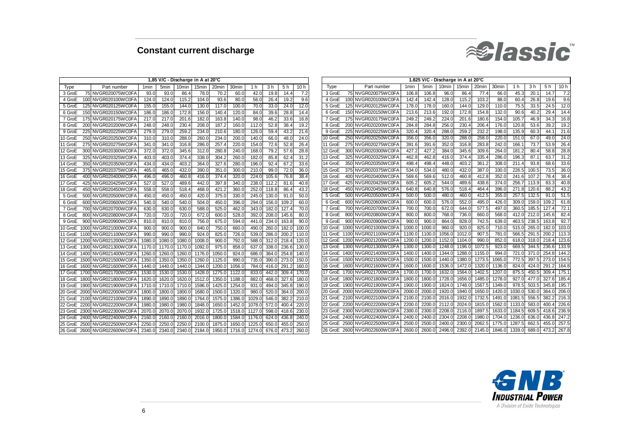

|         |      |                      |                  |                  |        | 1,85 V/C - Discharge in A at 20°C |        |                   |        |       |       |                 |         |      |                               |        |                  |                   | 1.825 V/C - Discharge in A at 20°C |       |        |        |       |       |                 |
|---------|------|----------------------|------------------|------------------|--------|-----------------------------------|--------|-------------------|--------|-------|-------|-----------------|---------|------|-------------------------------|--------|------------------|-------------------|------------------------------------|-------|--------|--------|-------|-------|-----------------|
| Type    |      | Part number          | 1 <sub>min</sub> | 5 <sub>min</sub> | 10min  | 15 <sub>min</sub>                 | 20min  | 30 <sub>min</sub> | 1 h    | 3 h   | 5h    | 10 h            | Type    |      | Part number                   | 1min   | 5 <sub>min</sub> | 10 <sub>min</sub> | 15min                              | 20min | 30min  | 1 h    | 3 h   | 5 h   | 10 <sub>h</sub> |
| 3 GroE  |      | 75 NVGR020075WC0FA   | 93.0             | 93(              | 86.4   | 78.0                              | 70.2   | 60.C              | 42.0   | 19.8  | 14.4  | 7.2             | 3 GroE  |      | 75 NVGR020075WC0FA            | 106.8  | 106.8            | 96.0              | 86.4                               | 77.4  | 66.C   | 45.3   | 20.7  | 14.   | -7.2            |
| 4 GroE  |      | 100 NVGR020100WC0F/  | 124.0            | 124.0            | 115.2  | 104.0                             | 93.6   | 80.0              | 56(    | 26.4  | 19.2  | 9.6             | 4 GroE  |      | 100 NVGR020100WC0FA           | 142.   | 142.4            | 128.0             | 115.2                              | 103.2 | 88.C   | 60.4   | 26.8  | 19.6  | 9.6             |
| 5 GroE  |      | 125 NVGR020125WC0F/  | 155.0            | 155.0            | 144.0  | 130.0                             | 117.0  | 100.0             | 70(    | 33.0  | 24.0  | 12.0            | 5 GroE  |      | 125 NVGR020125WC0FA           | 178.   | 178.0            | 160.0             | 144.0                              | 129.  | 110.0  | 75.5   | 33.5  | 24.5  | 12.0            |
| 6 GroE  |      | 150 NVGR020150WC0F   | 186.0            | 186.             | 172.8  | 156.0                             | 140.   | 120.0             | 84.1   | 39.6  | 28.8  | 14.4            | 6 GroE  |      | 150 NVGR020150WC0F/           | 213.6  | 213.6            | 192.0             | 172.8                              | 154.  | 132.0  | 90.6   | 40.2  | 29.   | 14.4            |
| 7 GroE  |      | 175 NVGR020175WC0F   | 217.0            | 217.1            | 201.6  | 182.0                             | 163.8  | 140.C             | 98.C   | 46.2  | 33.6  | 16.8            | 7 GroE  |      | 175 NVGR020175WC0FA           | 249.   | 249.2            | 224.0             | 201.6                              | 180.  | 154.0  | 105.7  | 46.9  | 34.   | 16.8            |
| 8 GroE  | 200  | NVGR020200WC0F/      | 248.0            | 248.0            | 230.4  | 208.0                             | 187.2  | 160.0             | 112.0  | 52.8  | 38.4  | 19.2            | 8 GroE  |      | 200 NVGR020200WC0FA           | 284.8  | 284.8            | 256.0             | 230.4                              | 206.  | 176.0  | 120.8  | 53.6  | 39.   | 19.2            |
| 9 GroE  | 225  | NVGR020225WC0F/      | 279.0            | 279.0            | 259.2  | 234.0                             | 210.6  | 180.0             | 126.0  | 59.4  | 43.2  | 21.6            | 9 GroE  |      | 225 NVGR020225WC0F/           | 320.   | 320.4            | 288.              | 259.2                              | 232.  | 198.   | 135.9  | 60.3  | 44.   | 21.6            |
| 10 GroE | 250  | NVGR020250WC0FA      | 310.0            | 310.1            | 288.   | 260.0                             | 234.   | 200.0             | 140.0  | 66.0  | 48.0  | 24.0            | 10 GroE |      | 250 NVGR020250WC0F/           | 356.   | 356.0            | 320.              | 288.0                              | 258.  | 220.1  | 151.0  | 67.   | 49.   | 24.0            |
| 11 GroE |      | 275 NVGR020275WC0F/  | 341.0            | 341.             | 316.8  | 286.0                             | 257.4  | 220.0             | 154.   | 72.6  | 52.8  | 26.4            | 11 GroE |      | 275 NVGR020275WC0FA           | 391.6  | 391.6            | 352.0             | 316.8                              | 283.  | 242.0  | 166.1  | 73.7  | 53.9  | 26.4            |
| 12 GroE |      | 300 NVGR020300WC0FA  | 372.0            | 372.             | 345.6  | 312.0                             | 280.8  | 240.0             | 168.   | 79.2  | 57.6  | 28.8            | 12 GroE |      | 300 NVGR020300WC0F/           | 427.   | 427.2            | 384.0             | 345.6                              | 309.  | 264.0  | 181.2  | 80.4  | 58.   | 28.8            |
| 13 GroE |      | 325 NVGR020325WC0F/  | 403(             | 403.             | 374.4  | 338.0                             | 304.   | 260.0             | 182.   | 85.8  | 62.4  | 31.2            | 13 GroE |      | 325 NVGR020325WC0F            | 462.8  | 462.8            | 416.              | 374.4                              | 335.  | 286.   | 196.3  | 87.   | 63.   | 31.2            |
| 14 GroE |      | 350 NVGR020350WC0F/  | 434.0            | 434.             | 403.   | 364.                              | 327.   | 280.0             | 196.   | 92.4  | 67.2  | 33.6            | 14 GroE |      | 350 NVGR020350WC0F/           | 498.   | 498.4            | 448.0             | 403.2                              | 361   | 308.0  | 211.4  | 93.8  | 68.   | 33.6            |
| 15 GroE |      | 375 NVGR020375WC0F/  | 465.0            | 465.             | 432.   | 390.0                             | 351.   | 300.0             | 210.0  | 99.0  | 72.0  | 36 <sub>0</sub> | 15 GroE |      | 375 NVGR020375WC0FA           | 534.0  | 534.0            | 480.0             | 432.0                              | 387   | 330(   | 226.5  | 100.  | 73.5  | 36.0            |
| 16 GroE |      | 400 NVGR020400WC0F/  | 496.0            | 496.             | 460.   | 416.0                             | 374.   | 320.0             | 224.   | 105.6 | 76.8  | 38.4            | 16 GroE |      | 400 NVGR020400WC0F/           | 569.6  | 569.6            | 512.0             | 460.8                              | 412.  | 352.0  | 241.6  | 107.  | 78.   | 38.4            |
| 17 GroE |      | 425 NVGR020425WC0F/  | 527.0            | 527.0            | 489.   | 442.0                             | 397.8  | 340.0             | 238.   | 112.2 | 81.6  | 40.8            | 17 GroE |      | 425 NVGR020425WC0F/           | 605.   | 605.2            | 544.0             | 489.6                              | 438.  | 374.   | 256.7  | 113.9 | 83.   | 40.8            |
| 18 GroE |      | 450 NVGR020450WC0F/  | 558.0            | 558.0            | 518.4  | 468.0                             | 421.   | 360.0             | 252.   | 118.8 | 86.4  | 43.2            | 18 GroE |      | 450 NVGR020450WC0F/           | 640.8  | 640.8            | 576.0             | 518.4                              | 464.  | 396.0  | 271.8  | 120.6 | 88.   | 43.2            |
| 5 GroE  |      | 500 NVGR020500WC0FA  | 450.0            | 450.0            | 450.0  | 420.0                             | 375.0  | 330.0             | 245.   | 130.0 | 91.0  | 50 <sub>c</sub> | 5 GroE  |      | 500 NVGR020500WC0F            | 500.0  | 500.0            | 480.0             | 460.0                              | 412.  | 355.0  | 257.5  | 132.  | 91.0  | 51.5            |
| 6 GroE  |      | 600 NVGR020600WC0FA  | 540.0            | 540.0            | 540.   | 504.0                             | 450.0  | 396(              | 294.   | 156.0 | 109.2 | 60.0            | 6 GroE  |      | 600 NVGR020600WC0F            | 600.   | 600.0            | 576.              | 552.0                              | 495.  | 426.   | 309.0  | 159.0 | 109.  | 61.8            |
| 7 GroE  |      | 700 NVGR020700WC0FA  | 630.0            | 630.             | 630.   | 588.0                             | 525.0  | 462.0             | 343.   | 182.0 | 127.4 | 70.0            | 7 GroE  |      | 700 NVGR020700WC0F            | 700.   | 700.0            | 672.0             | 644.                               | 577.  | 497.   | 360.5  | 185.5 | 127   | 72.7            |
| 8 GroE  |      | 800 NVGR020800WC0F/  | 720.             | 720.             | 720.   | 672.                              | 600.   | 528.0             | 392.   | 208.0 | 145.6 | 80.0            | 8 GroE  |      | 800 NVGR020800WC0F/           | 800.0  | 800.0            | 768.0             | 736.0                              | 660.  | 568.   | 412.0  | 212.0 | 145.  | 82.4            |
| 9 GroE  |      | NVGR020900WC0FA      | 810.0            | 810.0            | 810.   | 756.0                             | 675.0  | 594.0             | 441.   | 234.0 | 163.8 | 90.0            | 9 GroE  | 900  | NVGR020900WC0FA               | 900.0  | 900.0            | 864.0             | 828.0                              | 742.  | 639.0  | 463.5  | 238.  | 163.8 | 92.7            |
| 10 GroE | 1000 | NVGR021000WC0F/      | 900.0            | 900.             | 900.   | 840.0                             | 750.   | 660.0             | 490.   | 260.0 | 182.0 | 100.0           | 10 GroE |      | 1000 NVGR021000WC0FA          | 1000.0 | 1000.0           | 960.0             | 920.0                              | 825.  | 710.0  | 515.0  | 265.0 | 182.  | 103.0           |
| 11 GroE | 1100 | NVGR021100WC0FA      | 990.0            | 990.0            | 990.   | 924.0                             | 825.   | 726.0             | 539.   | 286.  | 200.2 | 110.0           |         |      | 11 GroE 1100 NVGR021100WC0F   | 1100.0 | 1100.0           | 1056.             | 1012.0                             | 907   | 781.   | 566.5  | 291.5 | 200.  | 113.3           |
| 12 GroE |      | 1200 NVGR021200WC0FA | 1080.0           | 1080.            | 1080.0 | 1008.0                            | 900.   | 792.0             | 588.   | 312.  | 218.4 | 120.0           | 12 GroE |      | 1200 NVGR021200WC0F           | 1200.  | 1200.            | 1152.             | 1104.0                             | 990   | 852.   | 618.0  | 318.0 | 218.  | 123.6           |
| 13 GroE |      | 1300 NVGR021300WC0FA | 1170.0           | 1170.0           | 1170.0 | 1092.0                            | 975.   | 858.0             | 637.   | 338.  | 236.6 | 130.0           | 13 GroE |      | 1300 NVGR021300WC0F           | 1300.0 | 1300.            | 1248.             | 1196.                              | 1072. | 923.   | 669.5  | 344.5 | 236.6 | 133.9           |
| 14 GroE |      | 1400 NVGR021400WC0FA | 1260.0           | 1260.            | 1260.0 | 1176.0                            | 1050.  | 924.0             | 686.   | 364.0 | 254.8 | 140.0           | 14 GroE |      | 1400 NVGR021400WC0F           | 1400.  | 1400.            | 1344.             | 1288.0                             | 1155. | 994.   | 721.0  | 371.0 | 254.8 | 144.2           |
| 15 GroE |      | 1500 NVGR021500WC0FA | 1350.0           | 1350.            | 1350.  | 1260                              | 1125.  | 990.0             | 735.   | 390.  | 273.0 | 150.0           |         |      | 15 GroE 1500 NVGR021500WC0F   | 1500.  | 1500.            | 1440.             | 1380.0                             | 1273. | 1065.  | 772.5  | 397.5 | 273.  | 154.5           |
| 16 GroE |      | 1600 NVGR021600WC0F/ | 1440.            | 1440.            | 1440.  | 1344                              | 1200.  | 1056.0            | 784.   | 416.  | 291.2 | 160.0           |         |      | 16 GroE  1600 NVGR021600WC0FA | 1600.  | 1600.            | 1536.             | 1472.                              | 1320  | 1136.  | 824.0  | 424.0 | 291   | 164.8           |
| 17 GroE |      | 1700 NVGR021700WC0FA | 1530.            | 1530.            | 1530.  | 1428                              | 1275.  | 1122.0            | 833.   | 442.  | 309.4 | 170.0           |         |      | 17 GroE 1700 NVGR021700WC0FA  | 1700.0 | 1700.            | 1632.0            | 1564.0                             | 1402. | 1207.  | 875.5  | 450.  | 309.  | 175.            |
| 18 GroE |      | 1800 NVGR021800WC0F/ | 1620.0           | 1620.            | 1620.  | 1512.                             | 1350.  | 1188.0            | 882.   | 468.  | 327.6 | 180.0           |         |      | 18 GroE 1800 NVGR021800WC0F   | 1800.  | 1800.0           | 1728.             | 1656.                              | 1485. | 1278.  | 927.0  | 477.0 | 327.0 | 185.4           |
| 19 GroE |      | 1900 NVGR021900WC0FA | 1710.0           | 1710.            | 1710.  | 1596.                             | 1425.  | 1254.0            | 931.   | 494.0 | 345.8 | 190.0           |         |      | 19 GroE 1900 NVGR021900WC0F   | 1900.  | 1900.            | 1824.0            | 1748.0                             | 1567  | 1349.  | 978.5  | 503.5 | 345.  | 195.7           |
| 20 GroE |      | 2000 NVGR022000WC0FA | 1800.0           | 1800.            | 1800.  | 1680                              | 1500.  | 1320.0            | 980.   | 520.0 | 364.0 | 200.0           | 20 GroE |      | 2000 NVGR022000WC0F           | 2000.  | 2000.            | 1920.             | 1840.0                             | 1650  | 1420.  | 1030.0 | 530.0 | 364.  | 206.0           |
| 21 GroE |      | 2100 NVGR022100WC0FA | 1890.0           | 1890.            | 1890.  | 1764.                             | 1575.0 | 1386.0            | 1029.  | 546.0 | 382.2 | 210.0           | 21 GroE |      | 2100 NVGR022100WC0F           | 2100.  | 2100.            | 2016.             | 1932.                              | 1732  | 1491.0 | 1081   | 556.  | 382   | 216.3           |
| 22 GroE |      | 2200 NVGR022200WC0FA | 1980.0           | 1980.            | 1980.0 | 1848.                             | 1650.  | 1452.0            | 1078.  | 572.0 | 400.4 | 220.0           | 22 GroE |      | 2200 NVGR022200WC0F           | 2200.  | 2200.            | 2112.0            | 2024.0                             | 1815  | 1562.  | 1133.0 | 583.0 | 400.  | 226.6           |
| 23 GroE |      | 2300 NVGR022300WC0F/ | 2070.0           | 2070.            | 2070.  | 1932.                             | 1725.  | 1518.0            | 1127.  | 598.0 | 418.6 | 230.0           | 23 GroE |      | 2300 NVGR022300WC0F           | 2300.  | 2300             | 2208.             | 2116.0                             | 1897  | 1633.  | 1184.5 | 609.5 | 418.  | 236.9           |
| 24 GroE |      | 2400 NVGR022400WC0F  | 2160.0           | 2160.            | 2160.  | 2016                              | 1800.  | 1584.0            | 1176.  | 624.0 | 436.8 | 240.0           | 24 GroF | 2400 | NVGR022400WC0F                | 2400.  | 2400             | 2304.             | 2208.                              | 1980  | 1704.  | 1236.0 | 636.  | 436.  | 247.            |
| 25 GroE |      | 2500 NVGR022500WC0F/ | 2250.0           | 2250.            | 2250.  | 2100                              | 1875.  | 1650.0            | 1225.  | 650.  | 455.0 | 250.            | 25 GroE |      | 2500 NVGR022500WC0F           | 2500.  | 2500             | 2400.             | 2300.                              | 2062  | 1775.  | 1287.5 | 662.5 | 455.  | 257.5           |
| 26 GroE |      | 2600 NVGR022600WC0FA | 2340.0           | 2340.            | 2340 C | 2184.0                            | 1950 0 | 1716.0            | 1274.0 | 676.0 | 473.2 | 260.0           |         |      | 26 GroE 2600 NVGR022600WC0FA  | 2600.0 | 2600.            | 2496.0            | 2392.0                             | 2145. | 1846.C | 1339.0 | 689.0 | 473.2 | 267.8           |

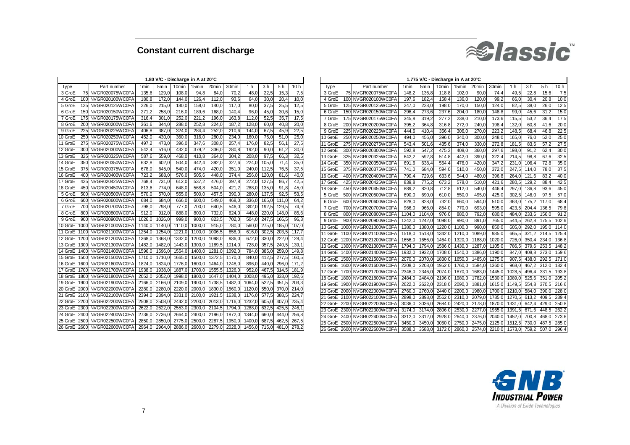

|         |     |                              |        |                  | 1.80 V/C - Discharge in A at 20°C |        |        |                   |        |                |       |       |         |  |                              |                  |                  |                   | 1.775 V/C - Discharge in A at 20°C |        |                   |                  |       |             |             |
|---------|-----|------------------------------|--------|------------------|-----------------------------------|--------|--------|-------------------|--------|----------------|-------|-------|---------|--|------------------------------|------------------|------------------|-------------------|------------------------------------|--------|-------------------|------------------|-------|-------------|-------------|
| Type    |     | Part number                  | 1min   | 5 <sub>min</sub> | 10 <sub>min</sub>                 | 15min  | 20min  | 30 <sub>min</sub> | 1 h    | 3 <sub>h</sub> | 5 h   | 10 h  | Type    |  | Part number                  | 1 <sub>min</sub> | 5 <sub>min</sub> | 10 <sub>min</sub> | 15min 20min                        |        | 30 <sub>min</sub> | 1 h              | 3 h   | 5h          | 10 h        |
| 3 GroE  |     | 75 NVGR020075WC0FA           | 135,6  | 129,0            | 108,0                             | 94,8   | 84,0   | 70,2              | 48,0   | 22,5           | 15,3  | 7,5   | 3 GroE  |  | 75 NVGR020075WC0FA           | 148,2            | 136,8            | 118,8             | 102,0                              | 90,0   | 74,4              | 49,5             | 22.8  | 15,6        | 7,5         |
| 4 GroE  |     | 100 NVGR020100WC0FA          | 180.8  | 172.0            | 144,0                             | 126,4  | 112,0  | 93.6              | 64.0   | 30.0           | 20.4  | 10,0  | 4 GroE  |  | 100 NVGR020100WC0FA          | 197.6            | 182,4            | 158,4             | 136,0                              | 120,0  | 99.2              | 66.0             | 30.4  | 20.8        | 10,0        |
| 5 GroE  |     | 125 NVGR020125WC0FA          | 226.   | 215.0            | 180.0                             | 158,0  | 140, C | 117.0             | 80,    | 37.5           | 25,5  | 12,5  | 5 GroE  |  | 125 NVGR020125WC0FA          | 247.             | 228.0            | 198,              | 170,0                              | 150, C | 124.0             | 82.5             | 38.   | 26.0        | 12,5        |
| 6 GroE  |     | 150 NVGR020150WC0FA          | 271.   | 258,0            | 216,0                             | 189,6  | 168,0  | 140,4             | 96,0   | 45,0           | 30,6  | 15,0  | 6 GroE  |  | 150 NVGR020150WC0F/          | 296.4            | 273,6            | 237,6             | 204,0                              | 180,0  | 148,8             | 99(              | 45.6  | 31.2        | 15,0        |
| 7 GroE  |     | 175 NVGR020175WC0FA          | 316,   | 301,0            | 252.                              | 221,2  | 196,0  | 163,8             | 112,0  | 52.5           | 35,7  | 17,5  | 7 GroE  |  | 175 NVGR020175WC0FA          | 345.8            | 319,2            | 277,              | 238,0                              | 210, C | 173,6             | 115,5            | 53.2  | 36,4        | 17,5        |
| 8 GroE  |     | 200 NVGR020200WC0FA          | 361,6  | 344,0            | 288,                              | 252,8  | 224,0  | 187,2             | 128,0  | 60.0           | 40,8  | 20,0  | 8 GroE  |  | 200 NVGR020200WC0F/          | 395.             | 364,8            | 316.8             | 272,0                              | 240,0  | 198,4             | 132(             | 60.8  | 41.6        | 20,0        |
| 9 GroE  |     | 225 NVGR020225WC0FA          | 406,8  | 387,0            | 324,                              | 284,4  | 252(   | 210,6             | 144,0  | 67.5           | 45,9  | 22.5  | 9 GroE  |  | 225 NVGR020225WC0FA          | 444,6            | 410,4            | 356,4             | 306,0                              | 270,0  | 223,2             | 148,5            | 68,4  | 46.8        | 22,5        |
| 10 GroE |     | 250 NVGR020250WC0FA          | 452.0  | 430.0            | 360.0                             | 316.0  | 280.0  | 234.0             | 160.0  | 75.0           | 51.0  | 25,0  | 10 GroE |  | 250 NVGR020250WC0FA          | 494,             | 456,0            | 396,              | 340.0                              | 300(   | 248,0             | 165,             | 76,0  | 52,0        | 25,0        |
| 11 GroE |     | 275 NVGR020275WC0FA          | 497.2  | 473.0            | 396,                              | 347.6  | 308,   | 257.4             | 176.0  | 82,5           | 56,1  | 27,5  | 11 GroE |  | 275 NVGR020275WC0FA          | 543,4            | 501,6            | 435,6             | 374,0                              | 330,0  | 272,8             | 181,5            | 83,6  | 57.2        | 27,5        |
| 12 GroE |     | 300 NVGR020300WC0FA          | 542.   | 516.0            | 432.                              | 379.2  | 336.0  | 280.8             | 192,0  | 90.0           | 61.2  | 30,0  | 12 GroE |  | 300 NVGR020300WC0FA          | 592,8            | 547,2            | 475,2             | 408,0                              | 360,   | 297,6             | 198 <sub>0</sub> | 91.   | 62,4        | 30,0        |
| 13 GroE |     | 325 NVGR020325WC0FA          | 587,6  | 559,0            | 468,                              | 410.8  | 364(   | 304,2             | 208,0  | 97.5           | 66,3  | 32,5  | 13 GroE |  | 325 NVGR020325WC0FA          | 642.             | 592,8            | 514.8             | 442,0                              | 390,0  | 322,4             | 214.5            | 98,   | 67.6        | 32,5        |
| 14 GroE |     | 350 NVGR020350WC0FA          | 632,8  | 602,0            | 504,                              | 442.4  | 392,0  | 327,6             | 224,0  | 105,0          | 71,4  | 35,0  | 14 GroE |  | 350 NVGR020350WC0FA          | 691.             | 638,4            | 554.4             | 476,0                              | 420,0  | 347,2             | 231,0            | 106.  | 72.8        | 35,0        |
| 15 GroE |     | 375 NVGR020375WC0FA          | 678,0  | 645,0            | 540.0                             | 474,0  | 420,0  | 351,0             | 240,0  | 112,5          | 76,5  | 37,5  | 15 GroE |  | 375 NVGR020375WC0FA          | 741.0            | 684,0            | 594,0             | 510,0                              | 450,   | 372,0             | 247.5            | 114.  | 78.0        | 37,5        |
| 16 GroE |     | 400 NVGR020400WC0FA          | 723,2  | 688,0            | 576,                              | 505,6  | 448,0  | 374,4             | 256,0  | 120,0          | 81,6  | 40,0  | 16 GroE |  | 400 NVGR020400WC0FA          | 790,             | 729,6            | 633,6             | 544,0                              | 480,0  | 396,8             | 264,0            | 121.6 | 83,2        | 40,0        |
| 17 GroE |     | 425 NVGR020425WC0FA          | 768.4  | 731,0            | 612.0                             | 537.2  | 476.0  | 397.8             | 272.0  | 127.5          | 86,7  | 42,5  | 17 GroE |  | 425 NVGR020425WC0FA          | 839.8            | 775.2            | 673,2             | 578.0                              | 510,0  | 421.6             | 280.5            | 129.3 | 88.4        | 42,5        |
| 18 GroE |     | 450 NVGR020450WC0FA          | 813,6  | 774,0            | 648.0                             | 568.8  | 504,0  | 421,2             | 288,0  | 135,0          | 91.8  | 45,0  | 18 GroE |  | 450 NVGR020450WC0FA          | 889,2            | 820.8            | 712,8             | 612,0                              | 540,0  | 446,4             | 297,0            | 136,8 | 93.6        | 45,0        |
| 5 GroE  |     | 500 NVGR020500WC0FA          | 570.0  | 570,0            | 555.                              | 500.0  | 457,5  | 390(              | 280,   | 137,5          | 92,5  | 53,5  | 5 GroE  |  | 500 NVGR020500WC0FA          | 690,0            | 690,0            | 610,              | 550,0                              | 495,0  | 425.0             | 302.5            | 146,  | 97.5        | 57,0        |
| 6 GroE  |     | 600 NVGR020600WC0FA          | 684,   | 684,0            | 666,                              | 600,0  | 549,0  | 468,0             | 336,   | 165.           | 111.0 | 64,2  | 6 GroE  |  | 600 NVGR020600WC0FA          | 828,0            | 828,0            | 732,0             | 660,0                              | 594,0  | 510,0             | 363,0            | 175,  | 117.0       | 68,4        |
| 7 GroE  |     | 700 NVGR020700WC0FA          | 798,   | 798,0            | 777,                              | 700,0  | 640,5  | 546,0             | 392(   | 192,5          | 129,5 | 74,9  | 7 GroE  |  | 700 NVGR020700WC0FA          | 966.0            | 966,0            | 854,              | 770,0                              | 693,0  | 595,0             | 423.5            | 204.  | 136.5       | 79,8        |
| 8 GroE  | 800 | NVGR020800WC0FA              | 912.0  | 912.0            | 888.                              | 800.0  | 732,0  | 624.0             | 448.0  | 220            | 148.0 | 85,6  | 8 GroE  |  | 800 NVGR020800WC0FA          | 1104.0           | 1104,0           | 976.0             | 880,0                              | 792(   | 680,0             | 484,0            | 233.  | 156.0       | 91,2        |
| 9 GroE  |     | 900 NVGR020900WC0FA          | 1026.  | 1026.0           | 999.                              | 900.0  | 823.5  | 702.0             | 504.0  | 247.5          | 166.5 | 96,3  | 9 GroE  |  | 900 NVGR020900WC0FA          | 1242,            | 1242,0           | 1098,             | 990,0                              | 891,0  | 765,0             | 544,5            | 262.  | 175,5       | 102,6       |
|         |     | 10 GroE 1000 NVGR021000WC0FA | 1140.  | 1140.0           | 1110.0                            | 1000.0 | 915.0  | 780.0             | 560.0  | 275.0          | 185.0 | 107,0 | 10 GroE |  | 1000 NVGR021000WC0F/         | 1380,            | 1380,0           | 1220,             | 1100,0                             | 990,0  | 850,0             | 605,0            | 292.  |             | 195,0 114,0 |
|         |     | 11 GroE 1100 NVGR021100WC0FA | 1254.0 | 1254.0           | 1221,                             | 1100.0 | 1006,5 | 858.0             | 616.0  | 302.           | 203.5 | 117,7 |         |  | 11 GroE 1100 NVGR021100WC0FA | 1518,0           | 1518,0           | 1342,             | 1210                               | 1089,0 | 935,0             | 665,5            | 321,  | 214,5       | 125,4       |
|         |     | 12 GroE 1200 NVGR021200WC0FA | 1368.  | 1368,0           | 1332,                             | 1200.0 | 1098,  | 936(              | 672.0  | 330.           | 222.0 | 128,4 |         |  | 12 GroE 1200 NVGR021200WC0FA | 1656.            | 1656.            | 1464,             | 1320.0                             | 1188,0 | 1020.0            | 726.0            | 350.  | 234.0       | 136,8       |
|         |     | 13 GroE 1300 NVGR021300WC0FA | 1482,  | 1482,0           | 1443,                             | 1300,0 | 1189,5 | 1014.0            | 728,0  | 357            | 240,5 | 139,1 |         |  | 13 GroE 1300 NVGR021300WC0FA | 1794.0           | 1794,0           | 1586,             | 1430,0                             | 1287,0 | 1105.0            | 786.5            | 379,  | 253,5       | 148,2       |
|         |     | 14 GroE 1400 NVGR021400WC0FA | 1596,  | 1596,0           | 1554,                             | 1400,0 | 1281,  | 1092,0            | 784,0  | 385,0          | 259,0 | 149,8 |         |  | 14 GroE 1400 NVGR021400WC0FA | 1932,0           | 1932,            | 1708,             | 1540,0                             | 1386,0 | 1190,0            | 847.0            | 408,  | 273,0       | 159,6       |
|         |     | 15 GroE 1500 NVGR021500WC0FA | 1710.  | 1710.0           | 1665.0                            | 1500.0 | 1372.5 | 1170.0            | 840.0  | 412.5          | 277.5 | 160,5 |         |  | 15 GroE 1500 NVGR021500WC0FA | 2070,0           | 2070.            | 1830,             | 1650,0                             | 1485,0 | 1275,0            | 907,5            | 438,  | 292,5 171,0 |             |
|         |     | 16 GroE 1600 NVGR021600WC0FA | 1824.0 | 1824.0           | 1776,0                            | 1600.0 | 1464,  | 1248,0            | 896,0  | 440.0          | 296,0 | 171,2 |         |  | 16 GroE 1600 NVGR021600WC0F/ | 2208.            | 2208.            | 1952.0            | 1760.0                             | 1584.0 | 1360.0            | 968.0            | 467   | 312.0       | 182,4       |
|         |     | 17 GroE 1700 NVGR021700WC0FA | 1938.  | 1938.0<br>2052.0 | 1887.0                            | 1700.0 | 1555,5 | 1326.0            | 952.0  | 467.           | 314.5 | 181,9 |         |  | 17 GroE 1700 NVGR021700WC0FA | 2346.0           | 2346,0           | 2074.             | 1870.0                             | 1683,0 | 1445,0            | 1028.5           | 496.  | 331,5       | 193,8       |
|         |     | 18 GroE 1800 NVGR021800WC0FA | 2052,  |                  | 1998,                             | 1800,0 | 1647,0 | 1404,0            | 1008,0 | 495,           | 333,0 | 192,6 |         |  | 18 GroE 1800 NVGR021800WC0F/ | 2484.0           | 2484,            | 2196,             | 1980,0                             | 1782,  | 1530,0            | 1089,0           | 525,6 | 351,        | 205,2       |
|         |     | 19 GroE 1900 NVGR021900WC0FA | 2166.  | 2166,0           | 2109,                             | 1900,0 | 1738,5 | 1482,0            | 1064,  | 522.           | 351.5 | 203,3 |         |  | 19 GroE 1900 NVGR021900WC0FA | 2622.            | 2622             | 2318,             | 2090                               | 1881,  | 1615,0            | 1149.5           | 554.8 | 370,5 216,6 |             |
|         |     | 20 GroE 2000 NVGR022000WC0FA | 2280.0 | 2280.0           | 2220.                             | 2000.0 | 1830.  | 1560.0            | 1120.0 | 550            | 370.0 | 214,0 |         |  | 20 GroE 2000 NVGR022000WC0F/ | 2760,0           | 2760             | 2440,             | 2200,                              | 1980,0 | 1700,0            | 1210,0           | 584.  | 390(        | 0 228.0     |
|         |     | 21 GroE 2100 NVGR022100WC0FA | 2394,  | 2394,            | 2331                              | 2100,0 | 1921,5 | 1638,0            | 1176,  | 577            | 388,5 | 224,7 |         |  | 21 GroE 2100 NVGR022100WC0FA | 2898,0           | 2898,0           | 2562,             | 2310,0                             | 2079,0 | 1785.0            | 1270,5           | 613.  | 409,5       | 239,4       |
|         |     | 22 GroE 2200 NVGR022200WC0FA | 2508.  | 2508.0           | 2442,                             | 2200.0 | 2013.  | 1716.0            | 1232,0 | 605.           | 407.0 | 235,4 |         |  | 22 GroE 2200 NVGR022200WC0F/ | 3036,0           | 3036,            | 2684,             | 2420,0                             | 2178,0 | 1870,0            | 1331,0           | 642.4 | 429.0       | 250,8       |
|         |     | 23 GroE 2300 NVGR022300WC0FA | 2622.  | 2622.0           | 2553,                             | 2300.0 | 2104,5 | 1794,0            | 1288.0 | 632.           | 425.5 | 246,1 | 23 GroE |  | 2300 NVGR022300WC0F          | 3174,0           | 3174,            | 2806,             | 2530                               | 2277,0 | 1955,0            | 1391,5           | 671.  | 448,5 262,2 |             |
|         |     | 24 GroE 2400 NVGR022400WC0FA | 2736,  | 2736.0           | 2664,0                            | 2400,0 | 2196,  | 1872.0            | 1344.0 | 660,0          | 444.0 | 256,8 |         |  | 24 GroE 2400 NVGR022400WC0F  | 3312.            | 3312.            | 2928.             | 2640                               | 2376.  | 2040.             | 1452.0           | 700.  | 468.0       | 273,6       |
|         |     | 25 GroE 2500 NVGR022500WC0FA | 2850,  | 2850.0           | 2775,                             | 2500,0 | 2287,5 | 1950,0            | 1400,0 | 687            | 462.5 | 267,5 |         |  | 25 GroE 2500 NVGR022500WC0FA | 3450.            | 3450.            | 3050,             | 2750                               | 2475.  | 2125.0            | 1512.5           | 730.  | 487,5       | 285,0       |
|         |     | 26 GroE 2600 NVGR022600WC0FA | 2964.0 | 2964.0           | 2886,0                            | 2600.0 | 2279.0 | 2028.0            | 1456.0 | 715,0          | 481,0 | 278,2 |         |  | 26 GroE 2600 NVGR022600WC0FA | 3588.0           | 3588.0           | 3172.0            | 2860.0                             | 2574.0 | 2210.0            | 1573.0           | 759.2 | 507.0 296.4 |             |